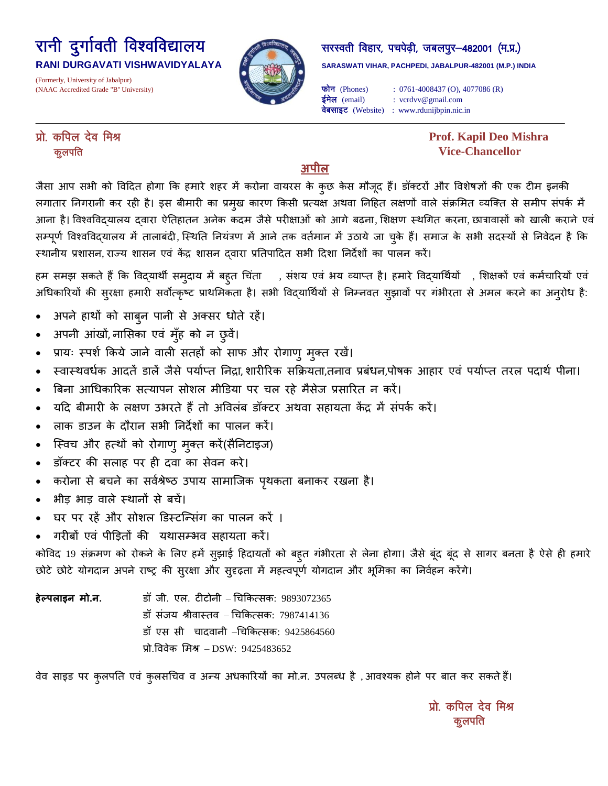## रानी दुर्गावती विश्वविद्यालय अल्ल्या कर सरस्वती विहार, पचपेढ़ी, जबलपुर-482001 (म.प्र.)

(Formerly, University of Jabalpur)

# $\overline{a}$

RANI DURGAVATI VISHWAVIDYALAYA **Bertama yang pakeraswati vihar, pachpedi, jabalpur-482001 (M.P.) INDIA** 

(NAAC Accredited Grade "B" University)  $\overrightarrow{p}$  (Phones) : 0761-4008437 (O), 4077086 (R) ईमेल (email) : vcrdvv@gmail.com वेबसाइट (Website) : www.rdunijbpin.nic.in

izks- dfiy nso feJ **Prof. Kapil Deo Mishra**  dqyifr **Vice-Chancellor**

## **अपील**

जैसा आप सभी को विदित होगा कि हमारे शहर में करोना वायरस के कुछ केस मौजूद हैं। डॉक्टरों और विशेषज्ञों की एक टीम इनकी लगातार निगरानी कर रही है। इस बीमारी का प्रमुख कारण किसी प्रत्यक्ष अथवा निहित लक्षणों वाले संक्रमित व्यक्ति से समीप संपर्क में आना है। विश्वविद्यालय दवारा ऐतिहातन अनेक कदम जैसे परीक्षाओं को आगे बढ़ना, शिक्षण स्थगित करना, छात्रावासों को खाली कराने एवं सम्पूर्ण विश्वविद्यालय में तालाबंदी, स्थिति नियंत्रण में आने तक वर्तमान में उठाये जा चुके हैं। समाज के सभी सदस्यों से निवेदन है कि स्थानीय प्रशासन, राज्य शासन एवं केंद्र शासन दवारा प्रतिपादित सभी दिशा निर्देशों का पालन करें।

हम समझ सकते हैं कि विद्यार्थी समुदाय में बहुत चिंता जि, संशय एवं भय व्याप्त है। हमारे विद्यार्थियों जि़ शिक्षकों एवं कर्मचारियों एवं अधिकारियों की सुरक्षा हमारी सर्वोत्कृष्ट प्राथमिकता है। सभी विद्यार्थियों से निम्नवत सुझावों पर गंभीरता से अमल करने का अनुरोध है:

- अपने हाथों को साब्न पानी से अक्सर धोते रहें।
- अपनी आंखों, नासिका एवं मुँह को न छुवें।
- प्रायः स्पर्श किये जाने वाली सतहों को साफ और रोगाणु मुक्त रखें।
- स्वास्थवर्धक आदतें डालें जैसे पर्याप्त निद्रा, शारीरिक सक्रियता,तनाव प्रबंधन,पोषक आहार एवं पर्याप्त तरल पदार्थ पीना।
- बिना आधिकारिक सत्यापन सोशल मीडिया पर चल रहे मैसेज प्रसारित न करें।
- यदि बीमारी के लक्षण उभरते हैं तो अविलंब डॉक्टर अथवा सहायता केंद्र में संपर्क करें।
- राक डाउन के दौयान सबी ननदेशों का ऩारन कयें।
- स्विच और हत्थों को रोगाणु मुक्त करें(सैनिटाइज)
- डॉक्टर की सलाह पर ही दवा का सेवन करे।
- करोना से बचने का सर्वश्रेष्ठ उपाय सामाजिक पृथकता बनाकर रखना है।
- भीड़ भाड़ वाले स्थानों से बचें।
- घर पर रहें और सोशल डिस्टन्सिंग का पालन करें ।
- गरीबों एवं पीडितों की यथासम्भव सहायता करें।

कोविद 19 संक्रमण को रोकने के लिए हमें सुझाई हिदायतों को बहुत गंभीरता से लेना होगा। जैसे बूंद बूंद से सागर बनता है ऐसे ही हमारे छोटे छोटे योगदान अपने राष्ट्र की सुरक्षा और सुदृढ़ता में महत्वपूर्ण योगदान और भूमिका का निर्वहन करेंगे।

**हेल्पलाइन मो.न.** डॉ जी. एल. टीटोनी – चिकित्सक: 9893072365 डॉ संजय श्रीवास्तव – चिकित्सक: 7987414136 डॉ एस सी) चादवानी –चिकित्सक: 9425864560 प्रो.विवेक मिश्र – DSW: 9425483652

वेव साइड पर कुलपति एवं कुलसचिव व अन्य अधकारियों का मो.न. उपलब्ध है ,आवश्यक होने पर बात कर सकते हैं।

प्रो. कपिल देव मिश्र कूलपति